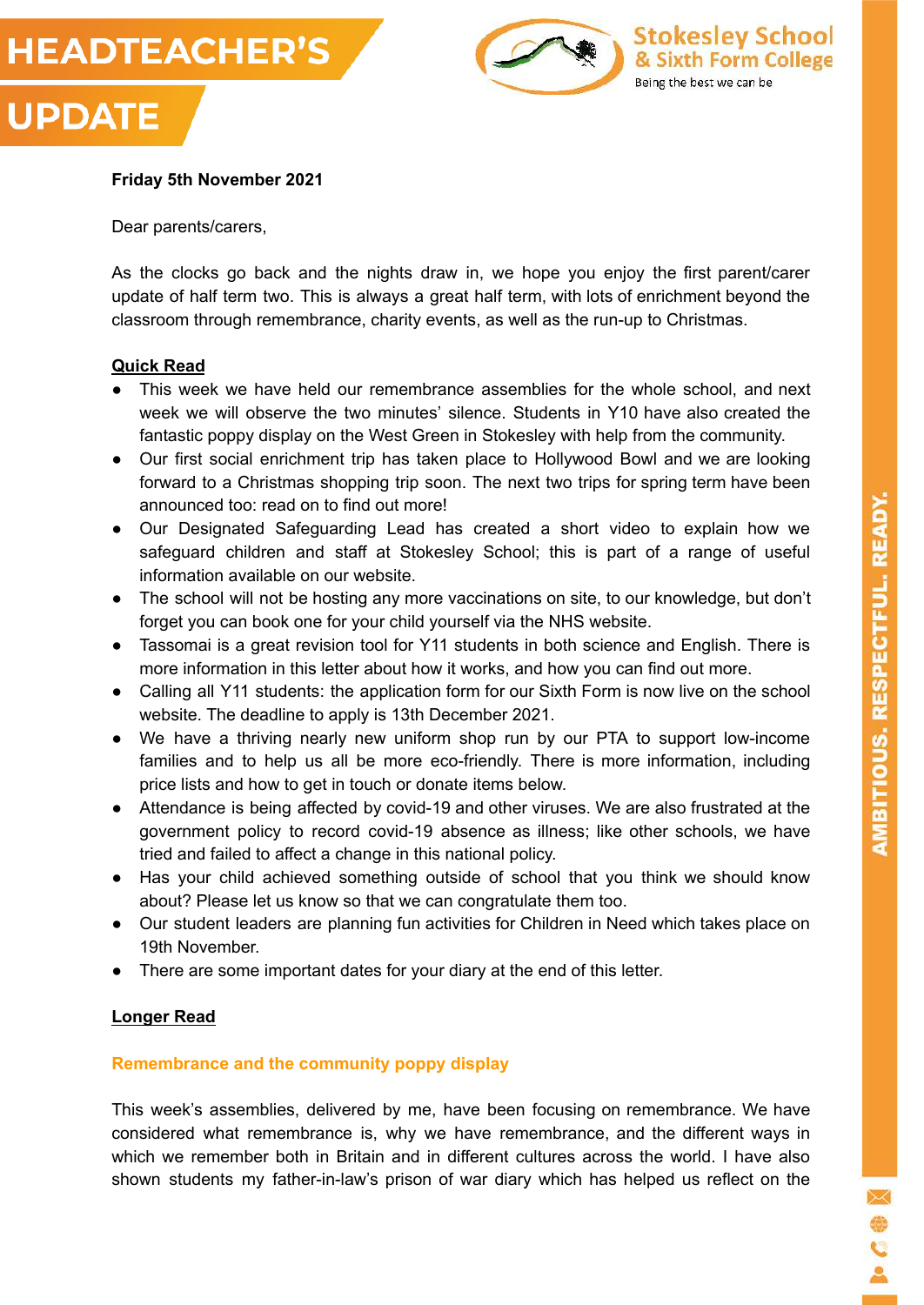



#### **Friday 5th November 2021**

Dear parents/carers,

As the clocks go back and the nights draw in, we hope you enjoy the first parent/carer update of half term two. This is always a great half term, with lots of enrichment beyond the classroom through remembrance, charity events, as well as the run-up to Christmas.

#### **Quick Read**

- This week we have held our remembrance assemblies for the whole school, and next week we will observe the two minutes' silence. Students in Y10 have also created the fantastic poppy display on the West Green in Stokesley with help from the community.
- Our first social enrichment trip has taken place to Hollywood Bowl and we are looking forward to a Christmas shopping trip soon. The next two trips for spring term have been announced too: read on to find out more!
- Our Designated Safeguarding Lead has created a short video to explain how we safeguard children and staff at Stokesley School; this is part of a range of useful information available on our website.
- The school will not be hosting any more vaccinations on site, to our knowledge, but don't forget you can book one for your child yourself via the NHS website.
- Tassomai is a great revision tool for Y11 students in both science and English. There is more information in this letter about how it works, and how you can find out more.
- Calling all Y11 students: the application form for our Sixth Form is now live on the school website. The deadline to apply is 13th December 2021.
- We have a thriving nearly new uniform shop run by our PTA to support low-income families and to help us all be more eco-friendly. There is more information, including price lists and how to get in touch or donate items below.
- Attendance is being affected by covid-19 and other viruses. We are also frustrated at the government policy to record covid-19 absence as illness; like other schools, we have tried and failed to affect a change in this national policy.
- Has your child achieved something outside of school that you think we should know about? Please let us know so that we can congratulate them too.
- Our student leaders are planning fun activities for Children in Need which takes place on 19th November.
- There are some important dates for your diary at the end of this letter.

## **Longer Read**

#### **Remembrance and the community poppy display**

This week's assemblies, delivered by me, have been focusing on remembrance. We have considered what remembrance is, why we have remembrance, and the different ways in which we remember both in Britain and in different cultures across the world. I have also shown students my father-in-law's prison of war diary which has helped us reflect on the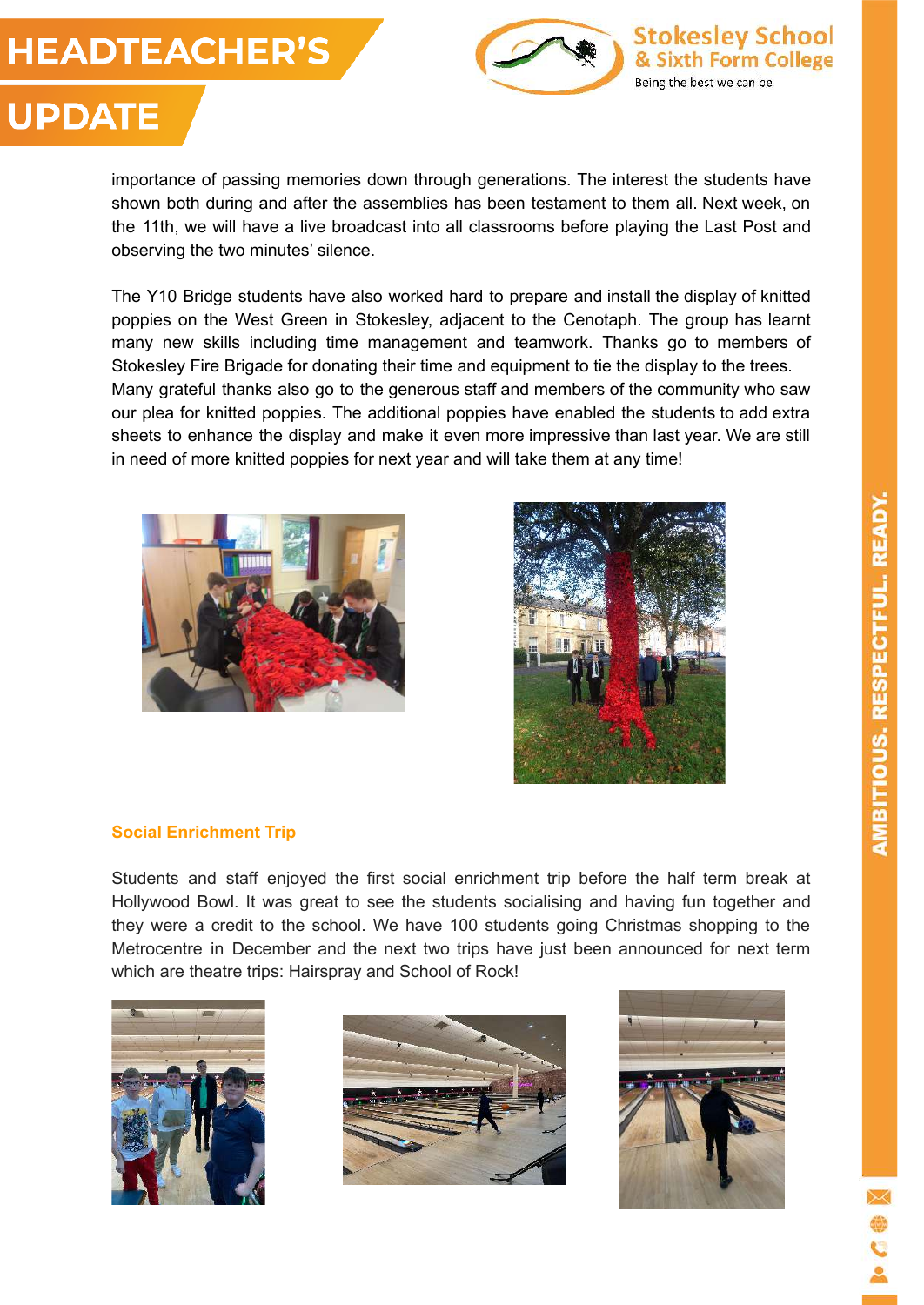# **HEADTEACHER'S**

**UPDATE** 





## importance of passing memories down through generations. The interest the students have shown both during and after the assemblies has been testament to them all. Next week, on the 11th, we will have a live broadcast into all classrooms before playing the Last Post and observing the two minutes' silence.

The Y10 Bridge students have also worked hard to prepare and install the display of knitted poppies on the West Green in Stokesley, adjacent to the Cenotaph. The group has learnt many new skills including time management and teamwork. Thanks go to members of Stokesley Fire Brigade for donating their time and equipment to tie the display to the trees. Many grateful thanks also go to the generous staff and members of the community who saw our plea for knitted poppies. The additional poppies have enabled the students to add extra sheets to enhance the display and make it even more impressive than last year. We are still in need of more knitted poppies for next year and will take them at any time!





## **Social Enrichment Trip**

Students and staff enjoyed the first social enrichment trip before the half term break at Hollywood Bowl. It was great to see the students socialising and having fun together and they were a credit to the school. We have 100 students going Christmas shopping to the Metrocentre in December and the next two trips have just been announced for next term which are theatre trips: Hairspray and School of Rock!





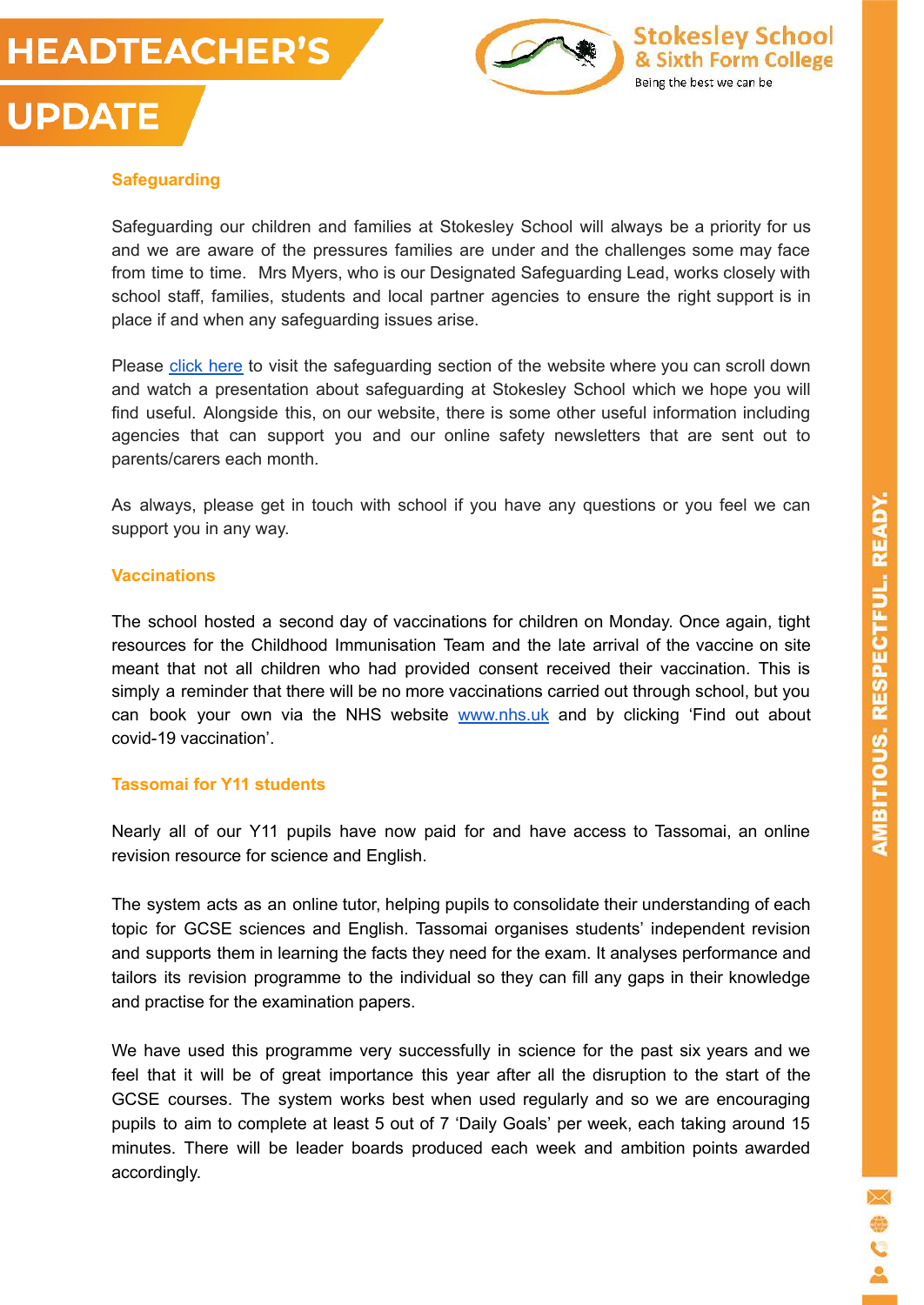



## **Safeguarding**

**UPDATE** 

Safeguarding our children and families at Stokesley School will always be a priority for us and we are aware of the pressures families are under and the challenges some may face from time to time. Mrs Myers, who is our Designated Safeguarding Lead, works closely with school staff, families, students and local partner agencies to ensure the right support is in place if and when any safeguarding issues arise.

Please [click here](https://www.stokesleyschool.org/about-us/safeguarding-prevent/) to visit the safeguarding section of the website where you can scroll down and watch a presentation about safeguarding at Stokesley School which we hope you will find useful. Alongside this, on our website, there is some other useful information including agencies that can support you and our online safety newsletters that are sent out to parents/carers each month.

As always, please get in touch with school if you have any questions or you feel we can support you in any way.

#### **Vaccinations**

The school hosted a second day of vaccinations for children on Monday. Once again, tight resources for the Childhood Immunisation Team and the late arrival of the vaccine on site meant that not all children who had provided consent received their vaccination. This is simply a reminder that there will be no more vaccinations carried out through school, but you can book your own via the NHS website [www.nhs.uk](http://www.nhs.uk) and by clicking 'Find out about covid-19 vaccination'.

#### **Tassomai for Y11 students**

Nearly all of our Y11 pupils have now paid for and have access to Tassomai, an online revision resource for science and English.

The system acts as an online tutor, helping pupils to consolidate their understanding of each topic for GCSE sciences and English. Tassomai organises students' independent revision and supports them in learning the facts they need for the exam. It analyses performance and tailors its revision programme to the individual so they can fill any gaps in their knowledge and practise for the examination papers.

We have used this programme very successfully in science for the past six years and we feel that it will be of great importance this year after all the disruption to the start of the GCSE courses. The system works best when used regularly and so we are encouraging pupils to aim to complete at least 5 out of 7 'Daily Goals' per week, each taking around 15 minutes. There will be leader boards produced each week and ambition points awarded accordingly.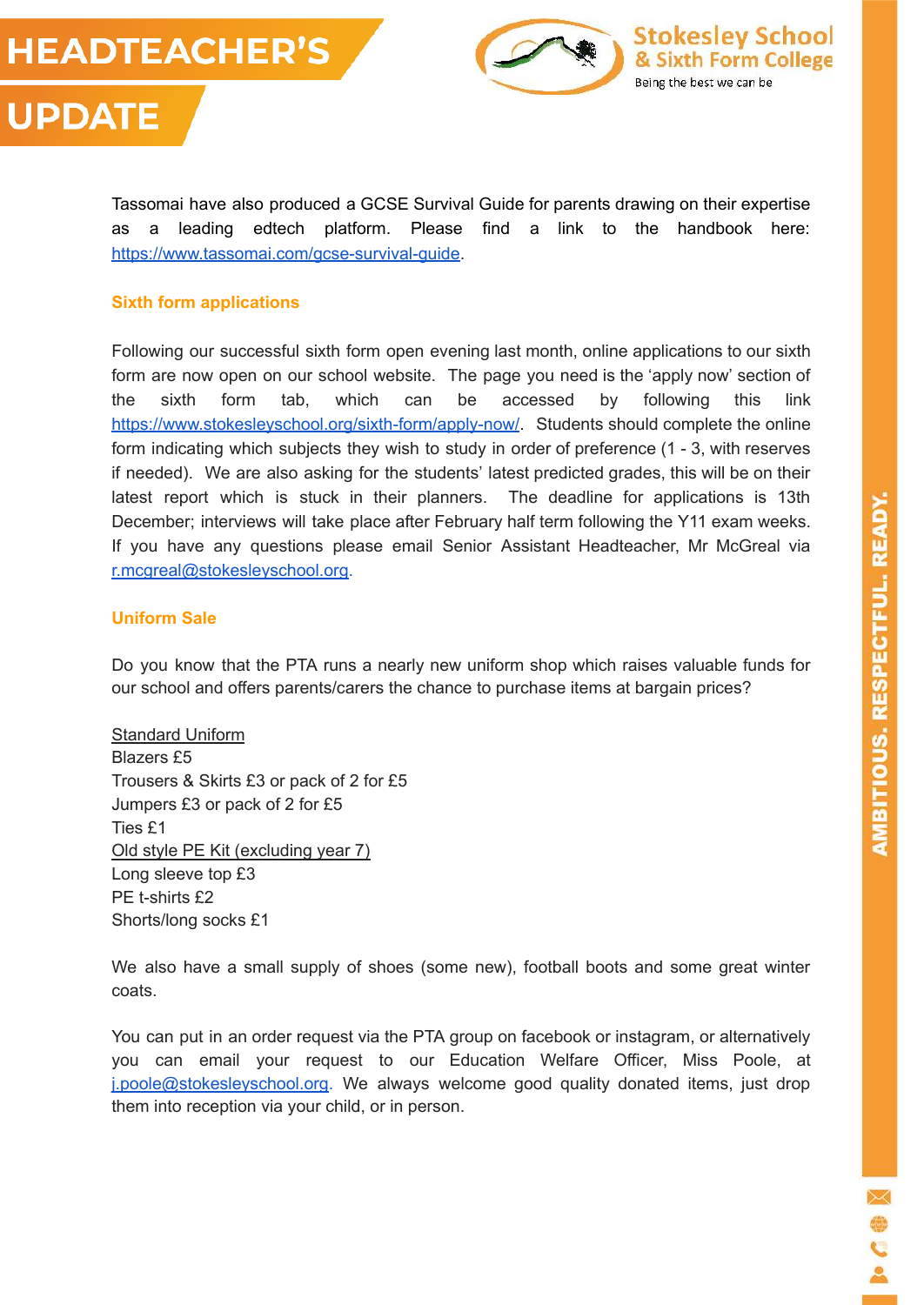



Tassomai have also produced a GCSE Survival Guide for parents drawing on their expertise as a leading edtech platform. Please find a link to the handbook here: [https://www.tassomai.com/gcse-survival-guide.](https://www.tassomai.com/gcse-survival-guide)

#### **Sixth form applications**

Following our successful sixth form open evening last month, online applications to our sixth form are now open on our school website. The page you need is the 'apply now' section of the sixth form tab, which can be accessed by following this link <https://www.stokesleyschool.org/sixth-form/apply-now/>. Students should complete the online form indicating which subjects they wish to study in order of preference (1 - 3, with reserves if needed). We are also asking for the students' latest predicted grades, this will be on their latest report which is stuck in their planners. The deadline for applications is 13th December; interviews will take place after February half term following the Y11 exam weeks. If you have any questions please email Senior Assistant Headteacher, Mr McGreal via [r.mcgreal@stokesleyschool.org.](mailto:r.mcgreal@stokesleyschool.org)

#### **Uniform Sale**

Do you know that the PTA runs a nearly new uniform shop which raises valuable funds for our school and offers parents/carers the chance to purchase items at bargain prices?

Standard Uniform Blazers £5 Trousers & Skirts £3 or pack of 2 for £5 Jumpers £3 or pack of 2 for £5 Ties £1 Old style PE Kit (excluding year 7) Long sleeve top £3 PE t-shirts £2 Shorts/long socks £1

We also have a small supply of shoes (some new), football boots and some great winter coats.

You can put in an order request via the PTA group on facebook or instagram, or alternatively you can email your request to our Education Welfare Officer, Miss Poole, at [j.poole@stokesleyschool.org](mailto:j.poole@stokesleyschool.org). We always welcome good quality donated items, just drop them into reception via your child, or in person.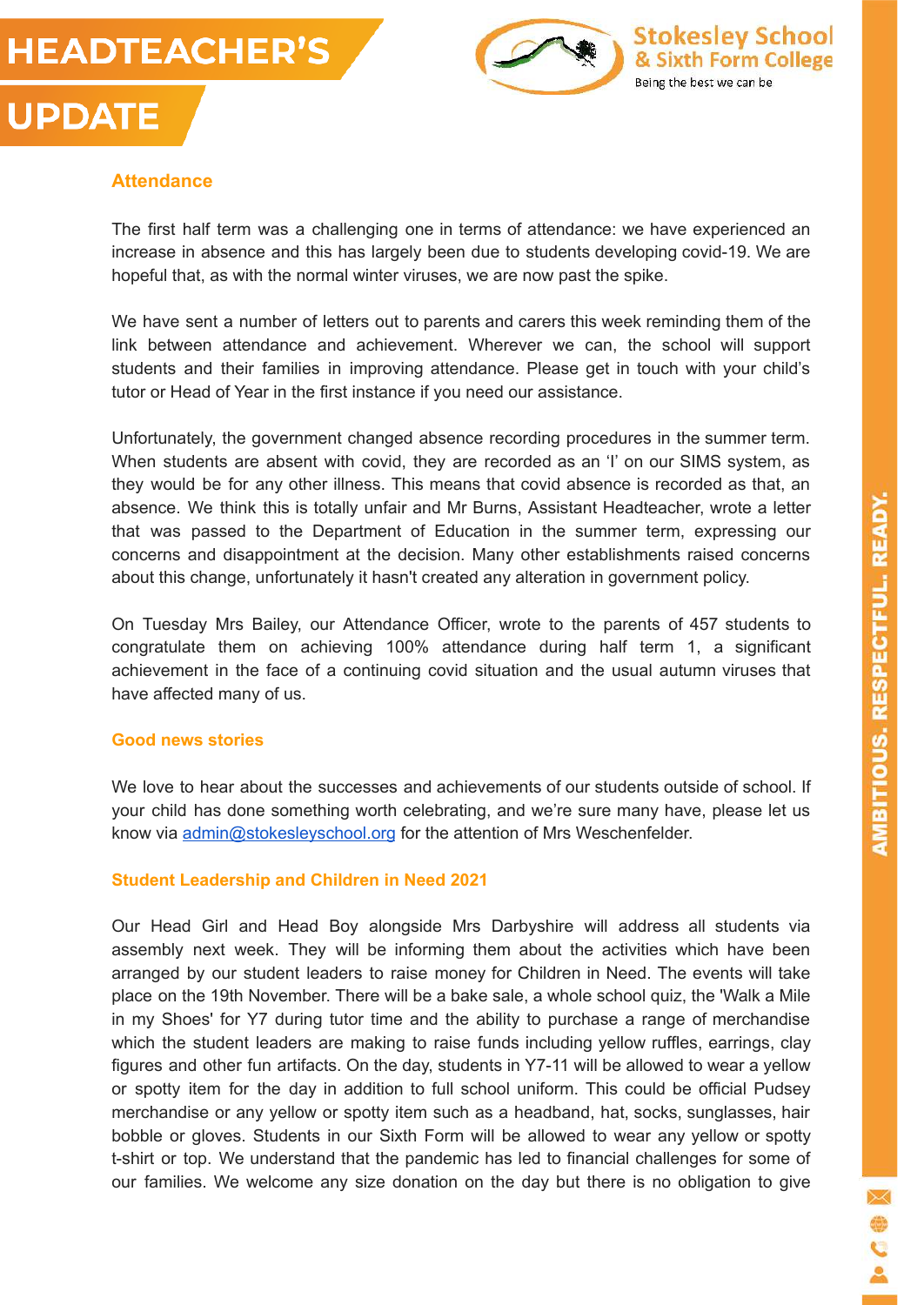



#### **Attendance**

**UPDATE** 

The first half term was a challenging one in terms of attendance: we have experienced an increase in absence and this has largely been due to students developing covid-19. We are hopeful that, as with the normal winter viruses, we are now past the spike.

We have sent a number of letters out to parents and carers this week reminding them of the link between attendance and achievement. Wherever we can, the school will support students and their families in improving attendance. Please get in touch with your child's tutor or Head of Year in the first instance if you need our assistance.

Unfortunately, the government changed absence recording procedures in the summer term. When students are absent with covid, they are recorded as an 'I' on our SIMS system, as they would be for any other illness. This means that covid absence is recorded as that, an absence. We think this is totally unfair and Mr Burns, Assistant Headteacher, wrote a letter that was passed to the Department of Education in the summer term, expressing our concerns and disappointment at the decision. Many other establishments raised concerns about this change, unfortunately it hasn't created any alteration in government policy.

On Tuesday Mrs Bailey, our Attendance Officer, wrote to the parents of 457 students to congratulate them on achieving 100% attendance during half term 1, a significant achievement in the face of a continuing covid situation and the usual autumn viruses that have affected many of us.

#### **Good news stories**

We love to hear about the successes and achievements of our students outside of school. If your child has done something worth celebrating, and we're sure many have, please let us know via [admin@stokesleyschool.org](mailto:admin@stokesleyschool.org) for the attention of Mrs Weschenfelder.

#### **Student Leadership and Children in Need 2021**

Our Head Girl and Head Boy alongside Mrs Darbyshire will address all students via assembly next week. They will be informing them about the activities which have been arranged by our student leaders to raise money for Children in Need. The events will take place on the 19th November. There will be a bake sale, a whole school quiz, the 'Walk a Mile in my Shoes' for Y7 during tutor time and the ability to purchase a range of merchandise which the student leaders are making to raise funds including yellow ruffles, earrings, clay figures and other fun artifacts. On the day, students in Y7-11 will be allowed to wear a yellow or spotty item for the day in addition to full school uniform. This could be official Pudsey merchandise or any yellow or spotty item such as a headband, hat, socks, sunglasses, hair bobble or gloves. Students in our Sixth Form will be allowed to wear any yellow or spotty t-shirt or top. We understand that the pandemic has led to financial challenges for some of our families. We welcome any size donation on the day but there is no obligation to give